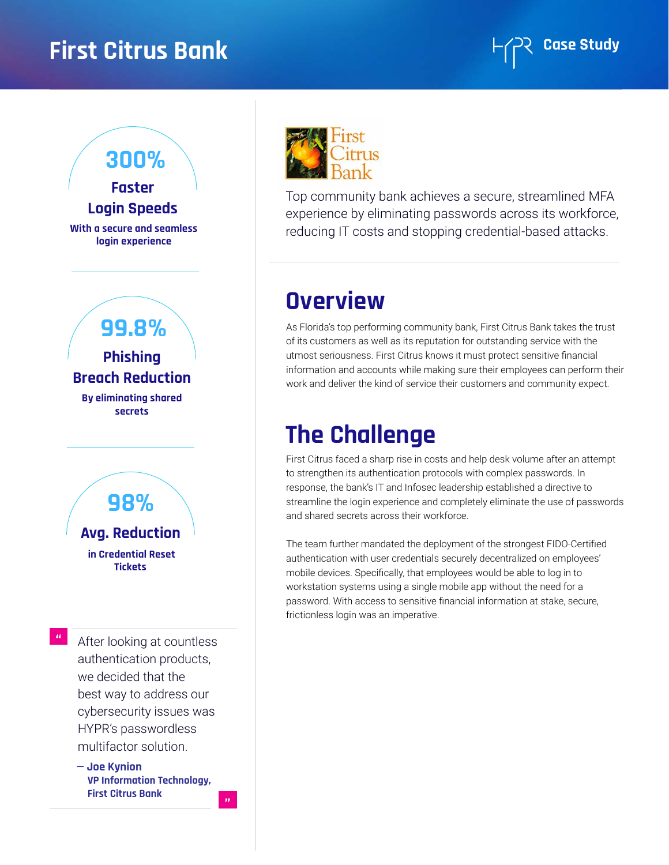### **First Citrus Bank First Citrus Bank**



# **Login Speeds**

**With a secure and seamless login experience**

**Phishing Breach Reduction 99.8%**

**By eliminating shared secrets**



**"**

After looking at countless authentication products, we decided that the best way to address our cybersecurity issues was HYPR's passwordless multifactor solution.

**— Joe Kynion VP Information Technology, First Citrus Bank**

**"**



Top community bank achieves a secure, streamlined MFA experience by eliminating passwords across its workforce, reducing IT costs and stopping credential-based attacks.

## **Overview**

As Florida's top performing community bank, First Citrus Bank takes the trust of its customers as well as its reputation for outstanding service with the utmost seriousness. First Citrus knows it must protect sensitive financial information and accounts while making sure their employees can perform their work and deliver the kind of service their customers and community expect.

### **The Challenge**

First Citrus faced a sharp rise in costs and help desk volume after an attempt to strengthen its authentication protocols with complex passwords. In response, the bank's IT and Infosec leadership established a directive to streamline the login experience and completely eliminate the use of passwords and shared secrets across their workforce.

The team further mandated the deployment of the strongest FIDO-Certified authentication with user credentials securely decentralized on employees' mobile devices. Specifically, that employees would be able to log in to workstation systems using a single mobile app without the need for a password. With access to sensitive financial information at stake, secure, frictionless login was an imperative.